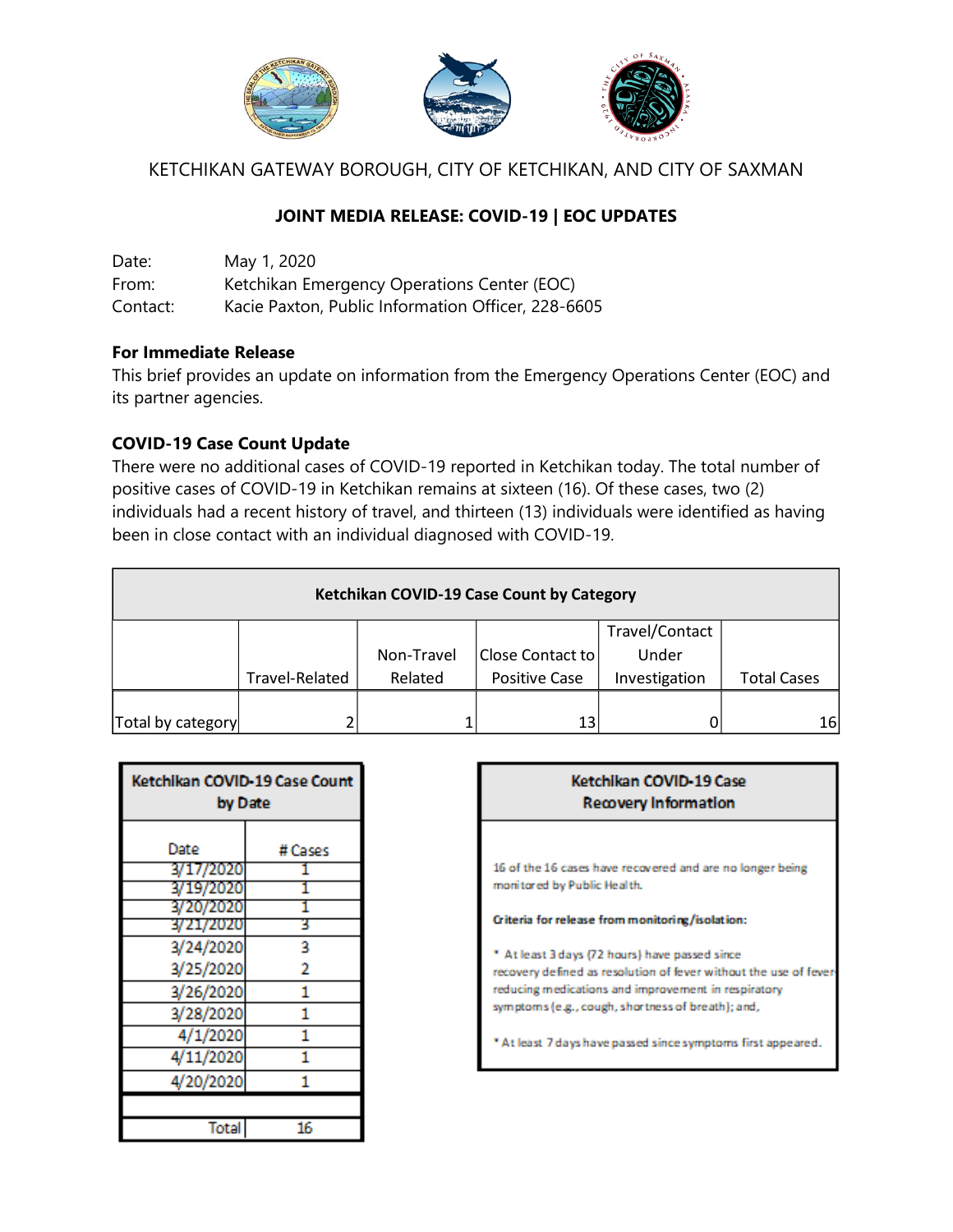

KETCHIKAN GATEWAY BOROUGH, CITY OF KETCHIKAN, AND CITY OF SAXMAN

# **JOINT MEDIA RELEASE: COVID-19 | EOC UPDATES**

Date: May 1, 2020 From: Ketchikan Emergency Operations Center (EOC) Contact: Kacie Paxton, Public Information Officer, 228-6605

#### **For Immediate Release**

This brief provides an update on information from the Emergency Operations Center (EOC) and its partner agencies.

#### **COVID-19 Case Count Update**

There were no additional cases of COVID-19 reported in Ketchikan today. The total number of positive cases of COVID-19 in Ketchikan remains at sixteen (16). Of these cases, two (2) individuals had a recent history of travel, and thirteen (13) individuals were identified as having been in close contact with an individual diagnosed with COVID-19.

| Ketchikan COVID-19 Case Count by Category |                |            |                      |                |                    |  |
|-------------------------------------------|----------------|------------|----------------------|----------------|--------------------|--|
|                                           |                |            |                      | Travel/Contact |                    |  |
|                                           |                | Non-Travel | Close Contact to     | Under          |                    |  |
|                                           | Travel-Related | Related    | <b>Positive Case</b> | Investigation  | <b>Total Cases</b> |  |
|                                           |                |            |                      |                |                    |  |
| Total by category                         |                |            | 13                   |                | 16                 |  |

| Ketchikan COVID-19 Case Count<br>by Date |         |  |
|------------------------------------------|---------|--|
| Date                                     | # Cases |  |
| 3/17/2020                                |         |  |
| 3/19/2020                                |         |  |
| 3/20/2020                                |         |  |
| 3/21/2020                                | 3       |  |
| 3/24/2020                                | 3       |  |
| 3/25/2020                                | 2       |  |
| 3/26/2020                                | 1       |  |
| 3/28/2020                                | 1       |  |
| 4/1/2020                                 | 1       |  |
| 4/11/2020                                | 1       |  |
| 4/20/2020                                | 1       |  |
|                                          |         |  |
| Total                                    | 16      |  |

| Ketchikan COVID-19 Case<br><b>Recovery Information</b>                                                                                                                                                                         |  |  |  |  |
|--------------------------------------------------------------------------------------------------------------------------------------------------------------------------------------------------------------------------------|--|--|--|--|
| 16 of the 16 cases have recovered and are no longer being<br>monitored by Public Health.                                                                                                                                       |  |  |  |  |
| Criteria for release from monitoring/isolation:                                                                                                                                                                                |  |  |  |  |
| * At least 3 days (72 hours) have passed since<br>recovery defined as resolution of fever without the use of fever<br>reducing medications and improvement in respiratory<br>symptoms (e.g., cough, shortness of breath); and, |  |  |  |  |
| " At least 7 days have passed since symptoms first appeared.                                                                                                                                                                   |  |  |  |  |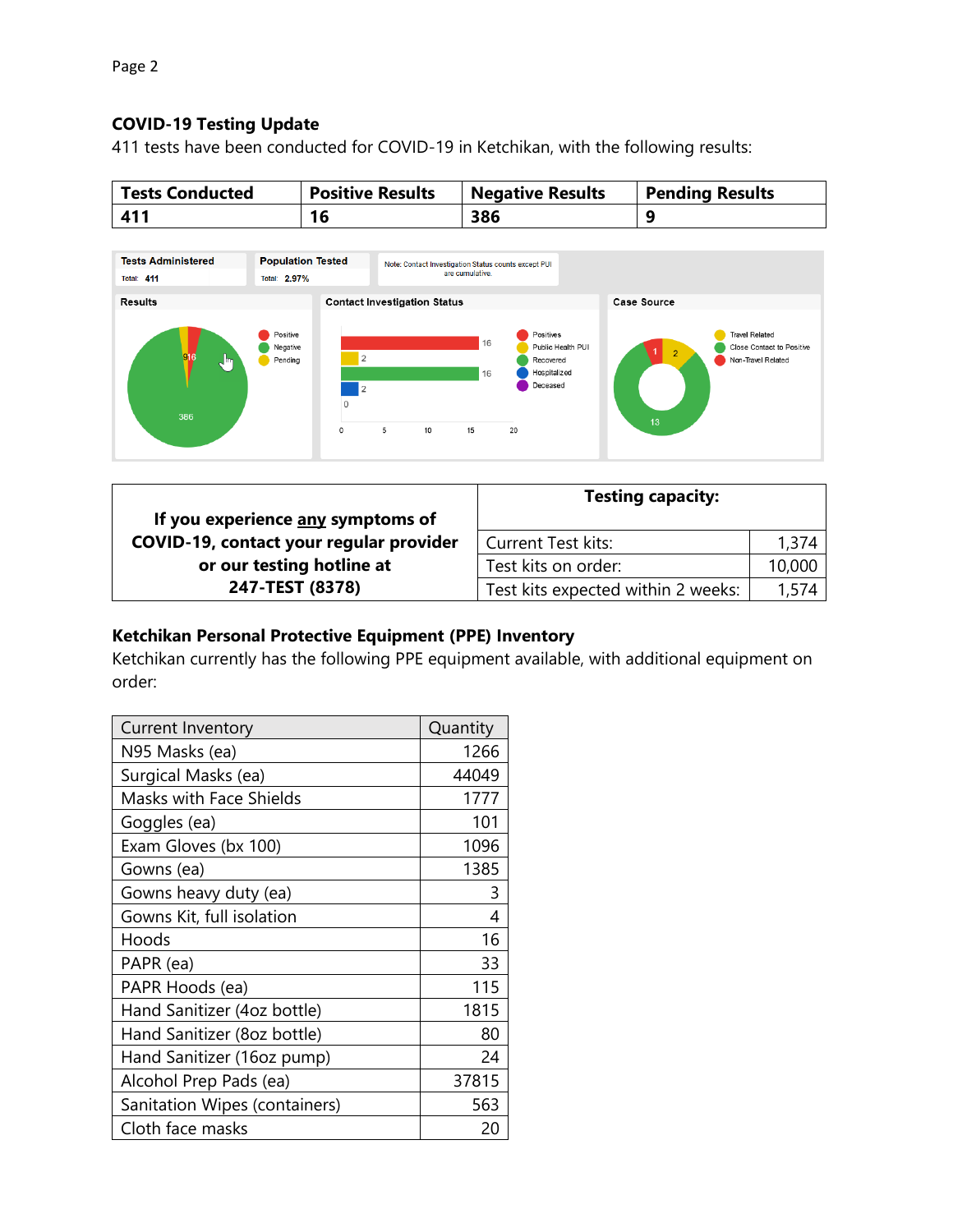## **COVID-19 Testing Update**

411 tests have been conducted for COVID-19 in Ketchikan, with the following results:

| <b>Tests Conducted</b> | <b>Positive Results</b> | <b>Negative Results</b> | Pending Results |
|------------------------|-------------------------|-------------------------|-----------------|
| 411                    | 16                      | 386                     |                 |



|                                         | <b>Testing capacity:</b>           |        |
|-----------------------------------------|------------------------------------|--------|
| If you experience any symptoms of       |                                    |        |
| COVID-19, contact your regular provider | <b>Current Test kits:</b>          | 1,374  |
| or our testing hotline at               | Test kits on order:                | 10,000 |
| 247-TEST (8378)                         | Test kits expected within 2 weeks: | 1,574  |

# **Ketchikan Personal Protective Equipment (PPE) Inventory**

Ketchikan currently has the following PPE equipment available, with additional equipment on order:

| <b>Current Inventory</b>      | Quantity |
|-------------------------------|----------|
| N95 Masks (ea)                | 1266     |
| Surgical Masks (ea)           | 44049    |
| Masks with Face Shields       | 1777     |
| Goggles (ea)                  | 101      |
| Exam Gloves (bx 100)          | 1096     |
| Gowns (ea)                    | 1385     |
| Gowns heavy duty (ea)         | 3        |
| Gowns Kit, full isolation     | 4        |
| Hoods                         | 16       |
| PAPR (ea)                     | 33       |
| PAPR Hoods (ea)               | 115      |
| Hand Sanitizer (4oz bottle)   | 1815     |
| Hand Sanitizer (8oz bottle)   | 80       |
| Hand Sanitizer (16oz pump)    | 24       |
| Alcohol Prep Pads (ea)        | 37815    |
| Sanitation Wipes (containers) | 563      |
| Cloth face masks              | 20       |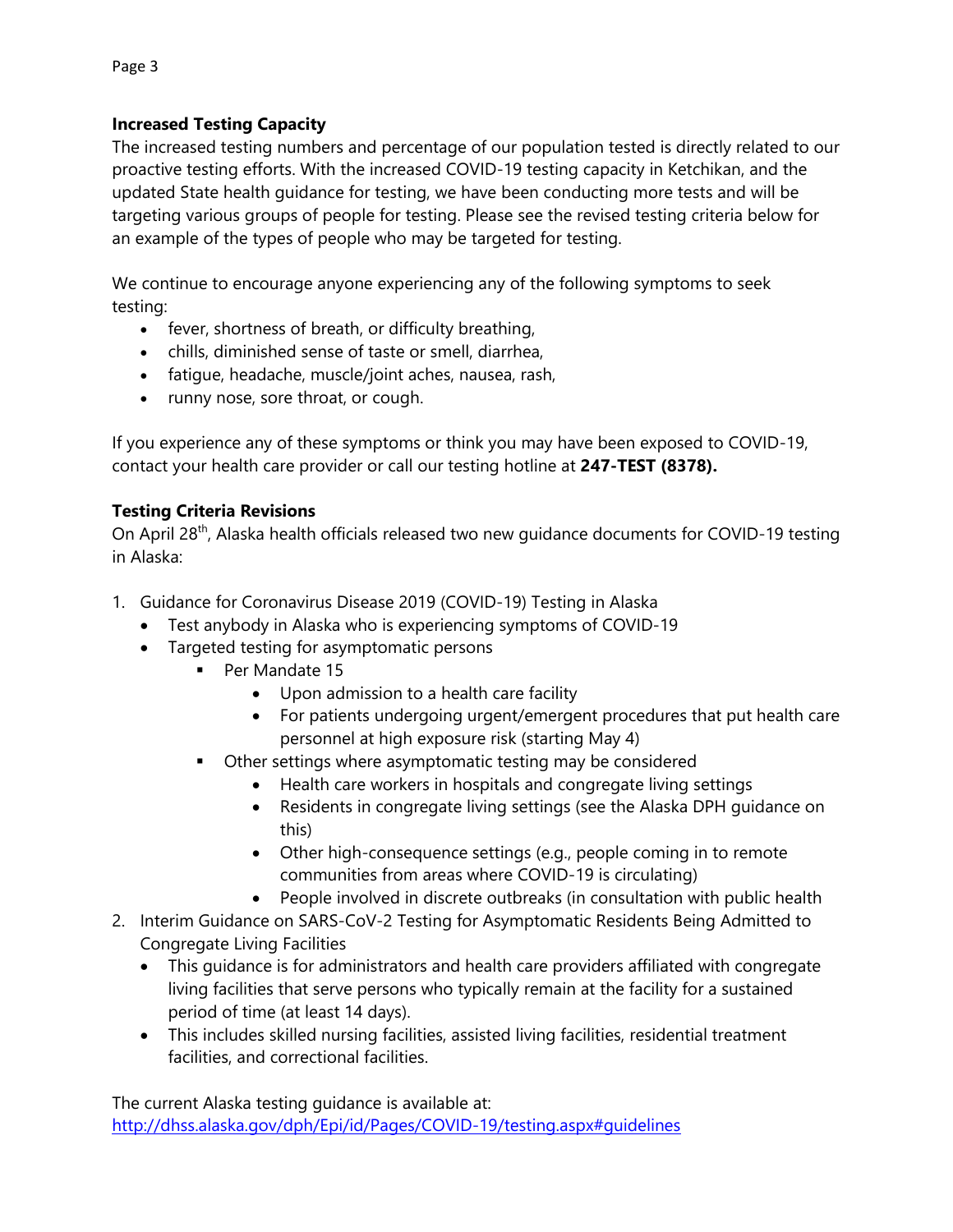## **Increased Testing Capacity**

The increased testing numbers and percentage of our population tested is directly related to our proactive testing efforts. With the increased COVID-19 testing capacity in Ketchikan, and the updated State health guidance for testing, we have been conducting more tests and will be targeting various groups of people for testing. Please see the revised testing criteria below for an example of the types of people who may be targeted for testing.

We continue to encourage anyone experiencing any of the following symptoms to seek testing:

- fever, shortness of breath, or difficulty breathing,
- chills, diminished sense of taste or smell, diarrhea,
- fatique, headache, muscle/joint aches, nausea, rash,
- runny nose, sore throat, or cough.

If you experience any of these symptoms or think you may have been exposed to COVID-19, contact your health care provider or call our testing hotline at **247-TEST (8378).**

### **Testing Criteria Revisions**

On April 28<sup>th</sup>, Alaska health officials released two new guidance documents for COVID-19 testing in Alaska:

- 1. Guidance for Coronavirus Disease 2019 (COVID-19) Testing in Alaska
	- Test anybody in Alaska who is experiencing symptoms of COVID-19
	- Targeted testing for asymptomatic persons
		- **Per Mandate 15** 
			- Upon admission to a health care facility
			- For patients undergoing urgent/emergent procedures that put health care personnel at high exposure risk (starting May 4)
		- **Other settings where asymptomatic testing may be considered** 
			- Health care workers in hospitals and congregate living settings
			- Residents in congregate living settings (see the Alaska DPH guidance on this)
			- Other high-consequence settings (e.g., people coming in to remote communities from areas where COVID-19 is circulating)
				- People involved in discrete outbreaks (in consultation with public health
- 2. Interim Guidance on SARS-CoV-2 Testing for Asymptomatic Residents Being Admitted to Congregate Living Facilities
	- This guidance is for administrators and health care providers affiliated with congregate living facilities that serve persons who typically remain at the facility for a sustained period of time (at least 14 days).
	- This includes skilled nursing facilities, assisted living facilities, residential treatment facilities, and correctional facilities.

The current Alaska testing guidance is available at: <http://dhss.alaska.gov/dph/Epi/id/Pages/COVID-19/testing.aspx#guidelines>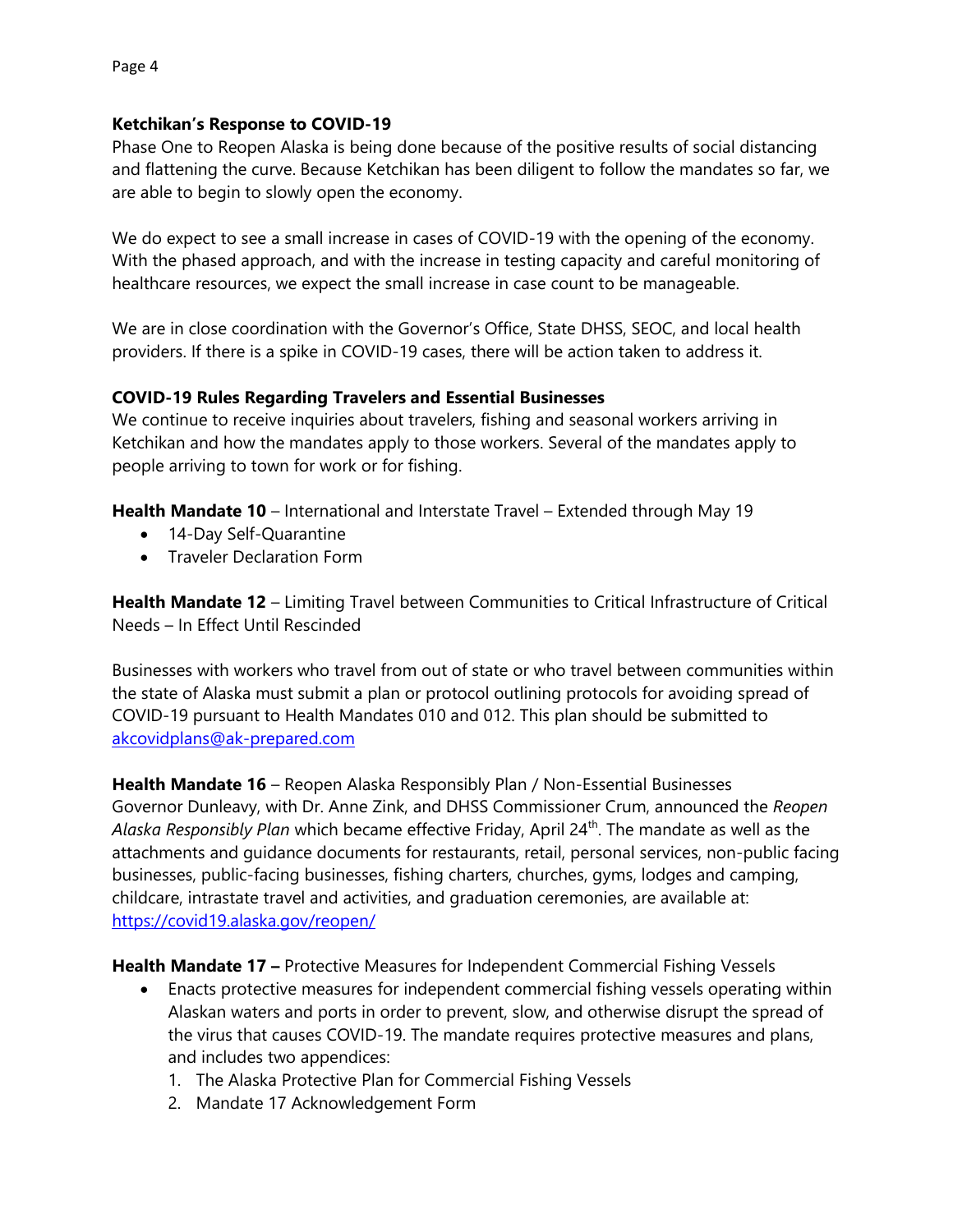### **Ketchikan's Response to COVID-19**

Phase One to Reopen Alaska is being done because of the positive results of social distancing and flattening the curve. Because Ketchikan has been diligent to follow the mandates so far, we are able to begin to slowly open the economy.

We do expect to see a small increase in cases of COVID-19 with the opening of the economy. With the phased approach, and with the increase in testing capacity and careful monitoring of healthcare resources, we expect the small increase in case count to be manageable.

We are in close coordination with the Governor's Office, State DHSS, SEOC, and local health providers. If there is a spike in COVID-19 cases, there will be action taken to address it.

### **COVID-19 Rules Regarding Travelers and Essential Businesses**

We continue to receive inquiries about travelers, fishing and seasonal workers arriving in Ketchikan and how the mandates apply to those workers. Several of the mandates apply to people arriving to town for work or for fishing.

**Health Mandate 10** – International and Interstate Travel – Extended through May 19

- 14-Day Self-Quarantine
- **•** Traveler Declaration Form

**Health Mandate 12** – Limiting Travel between Communities to Critical Infrastructure of Critical Needs – In Effect Until Rescinded

Businesses with workers who travel from out of state or who travel between communities within the state of Alaska must submit a plan or protocol outlining protocols for avoiding spread of COVID-19 pursuant to Health Mandates 010 and 012. This plan should be submitted to [akcovidplans@ak-prepared.com](mailto:akcovidplans@ak-prepared.com)

**Health Mandate 16** – Reopen Alaska Responsibly Plan / Non-Essential Businesses Governor Dunleavy, with Dr. Anne Zink, and DHSS Commissioner Crum, announced the *Reopen*  Alaska Responsibly Plan which became effective Friday, April 24<sup>th</sup>. The mandate as well as the attachments and guidance documents for restaurants, retail, personal services, non-public facing businesses, public-facing businesses, fishing charters, churches, gyms, lodges and camping, childcare, intrastate travel and activities, and graduation ceremonies, are available at: <https://covid19.alaska.gov/reopen/>

**Health Mandate 17 –** Protective Measures for Independent Commercial Fishing Vessels

- Enacts protective measures for independent commercial fishing vessels operating within Alaskan waters and ports in order to prevent, slow, and otherwise disrupt the spread of the virus that causes COVID-19. The mandate requires protective measures and plans, and includes two appendices:
	- 1. The Alaska Protective Plan for Commercial Fishing Vessels
	- 2. Mandate 17 Acknowledgement Form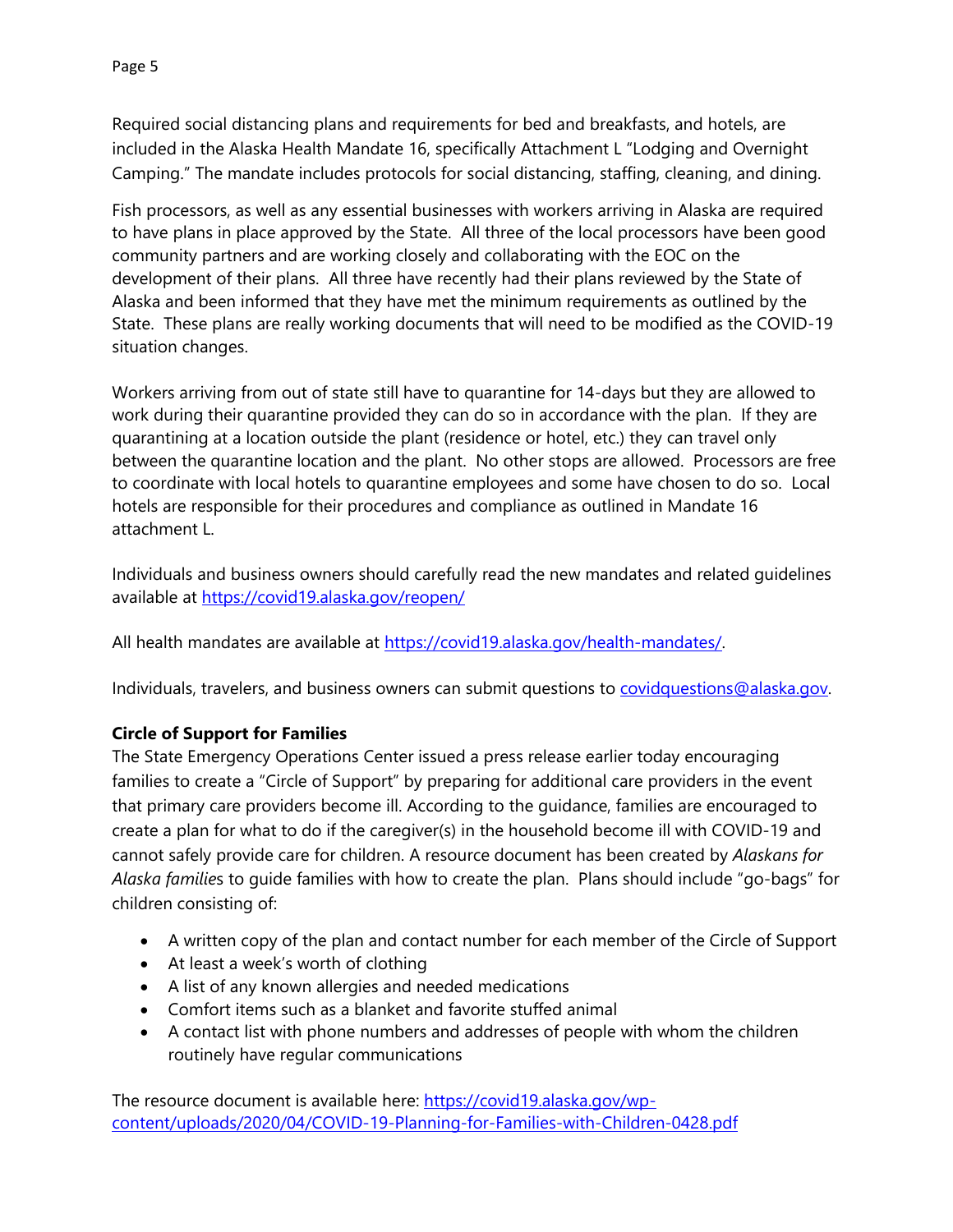Required social distancing plans and requirements for bed and breakfasts, and hotels, are included in the Alaska Health Mandate 16, specifically Attachment L "Lodging and Overnight Camping." The mandate includes protocols for social distancing, staffing, cleaning, and dining.

Fish processors, as well as any essential businesses with workers arriving in Alaska are required to have plans in place approved by the State. All three of the local processors have been good community partners and are working closely and collaborating with the EOC on the development of their plans. All three have recently had their plans reviewed by the State of Alaska and been informed that they have met the minimum requirements as outlined by the State. These plans are really working documents that will need to be modified as the COVID-19 situation changes.

Workers arriving from out of state still have to quarantine for 14-days but they are allowed to work during their quarantine provided they can do so in accordance with the plan. If they are quarantining at a location outside the plant (residence or hotel, etc.) they can travel only between the quarantine location and the plant. No other stops are allowed. Processors are free to coordinate with local hotels to quarantine employees and some have chosen to do so. Local hotels are responsible for their procedures and compliance as outlined in Mandate 16 attachment L.

Individuals and business owners should carefully read the new mandates and related guidelines available at<https://covid19.alaska.gov/reopen/>

All health mandates are available at [https://covid19.alaska.gov/health-mandates/.](https://covid19.alaska.gov/health-mandates/)

Individuals, travelers, and business owners can submit questions to [covidquestions@alaska.gov.](mailto:covidquestions@alaska.gov)

# **Circle of Support for Families**

The State Emergency Operations Center issued a press release earlier today encouraging families to create a "Circle of Support" by preparing for additional care providers in the event that primary care providers become ill. According to the guidance, families are encouraged to create a plan for what to do if the caregiver(s) in the household become ill with COVID-19 and cannot safely provide care for children. A resource document has been created by *Alaskans for Alaska familie*s to guide families with how to create the plan. Plans should include "go-bags" for children consisting of:

- A written copy of the plan and contact number for each member of the Circle of Support
- At least a week's worth of clothing
- A list of any known allergies and needed medications
- Comfort items such as a blanket and favorite stuffed animal
- A contact list with phone numbers and addresses of people with whom the children routinely have regular communications

The resource document is available here: [https://covid19.alaska.gov/wp](https://covid19.alaska.gov/wp-content/uploads/2020/04/COVID-19-Planning-for-Families-with-Children-0428.pdf)[content/uploads/2020/04/COVID-19-Planning-for-Families-with-Children-0428.pdf](https://covid19.alaska.gov/wp-content/uploads/2020/04/COVID-19-Planning-for-Families-with-Children-0428.pdf)